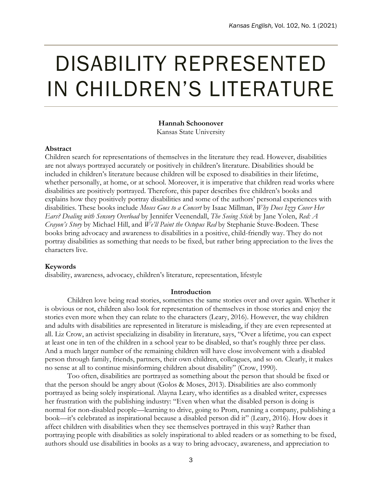# DISABILITY REPRESENTED IN CHILDREN'S LITERATURE

# **Hannah Schoonover**

Kansas State University

## **Abstract**

Children search for representations of themselves in the literature they read. However, disabilities are not always portrayed accurately or positively in children's literature. Disabilities should be included in children's literature because children will be exposed to disabilities in their lifetime, whether personally, at home, or at school. Moreover, it is imperative that children read works where disabilities are positively portrayed. Therefore, this paper describes five children's books and explains how they positively portray disabilities and some of the authors' personal experiences with disabilities. These books include *Moses Goes to a Concert* by Isaac Millman, *Why Does Izzy Cover Her Ears? Dealing with Sensory Overload* by Jennifer Veenendall, *The Seeing Stick* by Jane Yolen, *Red: A Crayon's Story* by Michael Hill, and *We'll Paint the Octopus Red* by Stephanie Stuve-Bodeen. These books bring advocacy and awareness to disabilities in a positive, child-friendly way. They do not portray disabilities as something that needs to be fixed, but rather bring appreciation to the lives the characters live.

#### **Keywords**

disability, awareness, advocacy, children's literature, representation, lifestyle

#### **Introduction**

Children love being read stories, sometimes the same stories over and over again. Whether it is obvious or not, children also look for representation of themselves in those stories and enjoy the stories even more when they can relate to the characters (Leary, 2016). However, the way children and adults with disabilities are represented in literature is misleading, if they are even represented at all. Liz Crow, an activist specializing in disability in literature, says, "Over a lifetime, you can expect at least one in ten of the children in a school year to be disabled, so that's roughly three per class. And a much larger number of the remaining children will have close involvement with a disabled person through family, friends, partners, their own children, colleagues, and so on. Clearly, it makes no sense at all to continue misinforming children about disability" (Crow, 1990).

Too often, disabilities are portrayed as something about the person that should be fixed or that the person should be angry about (Golos & Moses, 2013). Disabilities are also commonly portrayed as being solely inspirational. Alayna Leary, who identifies as a disabled writer, expresses her frustration with the publishing industry: "Even when what the disabled person is doing is normal for non-disabled people—learning to drive, going to Prom, running a company, publishing a book—it's celebrated as inspirational because a disabled person did it" (Leary, 2016). How does it affect children with disabilities when they see themselves portrayed in this way? Rather than portraying people with disabilities as solely inspirational to abled readers or as something to be fixed, authors should use disabilities in books as a way to bring advocacy, awareness, and appreciation to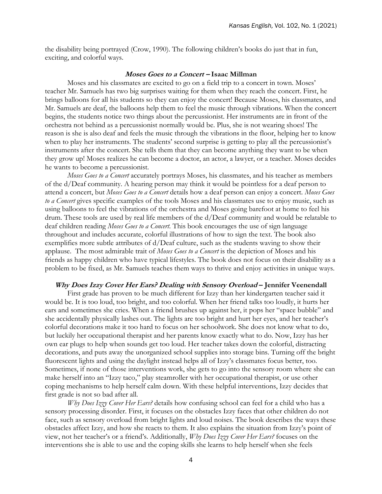the disability being portrayed (Crow, 1990). The following children's books do just that in fun, exciting, and colorful ways.

#### **Moses Goes to a Concert – Isaac Millman**

Moses and his classmates are excited to go on a field trip to a concert in town. Moses' teacher Mr. Samuels has two big surprises waiting for them when they reach the concert. First, he brings balloons for all his students so they can enjoy the concert! Because Moses, his classmates, and Mr. Samuels are deaf, the balloons help them to feel the music through vibrations. When the concert begins, the students notice two things about the percussionist. Her instruments are in front of the orchestra not behind as a percussionist normally would be. Plus, she is not wearing shoes! The reason is she is also deaf and feels the music through the vibrations in the floor, helping her to know when to play her instruments. The students' second surprise is getting to play all the percussionist's instruments after the concert. She tells them that they can become anything they want to be when they grow up! Moses realizes he can become a doctor, an actor, a lawyer, or a teacher. Moses decides he wants to become a percussionist.

*Moses Goes to a Concert* accurately portrays Moses, his classmates, and his teacher as members of the d/Deaf community. A hearing person may think it would be pointless for a deaf person to attend a concert, but *Moses Goes to a Concert* details how a deaf person can enjoy a concert. *Moses Goes to a Concert* gives specific examples of the tools Moses and his classmates use to enjoy music, such as using balloons to feel the vibrations of the orchestra and Moses going barefoot at home to feel his drum. These tools are used by real life members of the d/Deaf community and would be relatable to deaf children reading *Moses Goes to a Concert*. This book encourages the use of sign language throughout and includes accurate, colorful illustrations of how to sign the text. The book also exemplifies more subtle attributes of  $d/Deaf$  culture, such as the students waving to show their applause. The most admirable trait of *Moses Goes to a Concert* is the depiction of Moses and his friends as happy children who have typical lifestyles. The book does not focus on their disability as a problem to be fixed, as Mr. Samuels teaches them ways to thrive and enjoy activities in unique ways.

#### **Why Does Izzy Cover Her Ears? Dealing with Sensory Overload – Jennifer Veenendall**

First grade has proven to be much different for Izzy than her kindergarten teacher said it would be. It is too loud, too bright, and too colorful. When her friend talks too loudly, it hurts her ears and sometimes she cries. When a friend brushes up against her, it pops her "space bubble" and she accidentally physically lashes out. The lights are too bright and hurt her eyes, and her teacher's colorful decorations make it too hard to focus on her schoolwork. She does not know what to do, but luckily her occupational therapist and her parents know exactly what to do. Now, Izzy has her own ear plugs to help when sounds get too loud. Her teacher takes down the colorful, distracting decorations, and puts away the unorganized school supplies into storage bins. Turning off the bright fluorescent lights and using the daylight instead helps all of Izzy's classmates focus better, too. Sometimes, if none of those interventions work, she gets to go into the sensory room where she can make herself into an "Izzy taco," play steamroller with her occupational therapist, or use other coping mechanisms to help herself calm down. With these helpful interventions, Izzy decides that first grade is not so bad after all.

*Why Does Izzy Cover Her Ears?* details how confusing school can feel for a child who has a sensory processing disorder. First, it focuses on the obstacles Izzy faces that other children do not face, such as sensory overload from bright lights and loud noises. The book describes the ways these obstacles affect Izzy, and how she reacts to them. It also explains the situation from Izzy's point of view, not her teacher's or a friend's. Additionally, *Why Does Izzy Cover Her Ears?* focuses on the interventions she is able to use and the coping skills she learns to help herself when she feels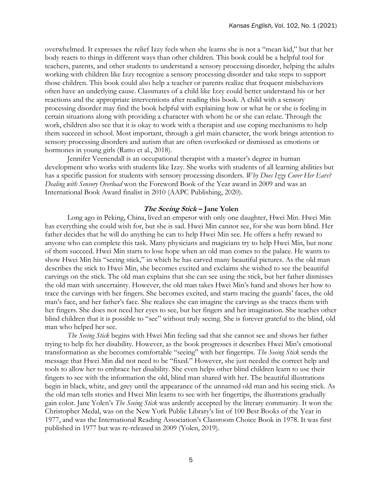overwhelmed. It expresses the relief Izzy feels when she learns she is not a "mean kid," but that her body reacts to things in different ways than other children. This book could be a helpful tool for teachers, parents, and other students to understand a sensory processing disorder, helping the adults working with children like Izzy recognize a sensory processing disorder and take steps to support those children. This book could also help a teacher or parents realize that frequent misbehaviors often have an underlying cause. Classmates of a child like Izzy could better understand his or her reactions and the appropriate interventions after reading this book. A child with a sensory processing disorder may find the book helpful with explaining how or what he or she is feeling in certain situations along with providing a character with whom he or she can relate. Through the work, children also see that it is okay to work with a therapist and use coping mechanisms to help them succeed in school. Most important, through a girl main character, the work brings attention to sensory processing disorders and autism that are often overlooked or dismissed as emotions or hormones in young girls (Ratto et al., 2018).

Jennifer Veenendall is an occupational therapist with a master's degree in human development who works with students like Izzy. She works with students of all learning abilities but has a specific passion for students with sensory processing disorders. *Why Does Izzy Cover Her Ears? Dealing with Sensory Overload* won the Foreword Book of the Year award in 2009 and was an International Book Award finalist in 2010 (AAPC Publishing, 2020).

#### **The Seeing Stick – Jane Yolen**

Long ago in Peking, China, lived an emperor with only one daughter, Hwei Min. Hwei Min has everything she could wish for, but she is sad. Hwei Min cannot see, for she was born blind. Her father decides that he will do anything he can to help Hwei Min see. He offers a hefty reward to anyone who can complete this task. Many physicians and magicians try to help Hwei Min, but none of them succeed. Hwei Min starts to lose hope when an old man comes to the palace. He wants to show Hwei Min his "seeing stick," in which he has carved many beautiful pictures. As the old man describes the stick to Hwei Min, she becomes excited and exclaims she wished to see the beautiful carvings on the stick. The old man explains that she can see using the stick, but her father dismisses the old man with uncertainty. However, the old man takes Hwei Min's hand and shows her how to trace the carvings with her fingers. She becomes excited, and starts tracing the guards' faces, the old man's face, and her father's face. She realizes she can imagine the carvings as she traces them with her fingers. She does not need her eyes to see, but her fingers and her imagination. She teaches other blind children that it is possible to "see" without truly seeing. She is forever grateful to the blind, old man who helped her see.

*The Seeing Stick* begins with Hwei Min feeling sad that she cannot see and shows her father trying to help fix her disability. However, as the book progresses it describes Hwei Min's emotional transformation as she becomes comfortable "seeing" with her fingertips. *The Seeing Stick* sends the message that Hwei Min did not need to be "fixed." However, she just needed the correct help and tools to allow her to embrace her disability. She even helps other blind children learn to use their fingers to see with the information the old, blind man shared with her. The beautiful illustrations begin in black, white, and grey until the appearance of the unnamed old man and his seeing stick. As the old man tells stories and Hwei Min learns to see with her fingertips, the illustrations gradually gain color. Jane Yolen's *The Seeing Stick* was ardently accepted by the literary community. It won the Christopher Medal, was on the New York Public Library's list of 100 Best Books of the Year in 1977, and was the International Reading Association's Classroom Choice Book in 1978. It was first published in 1977 but was re-released in 2009 (Yolen, 2019).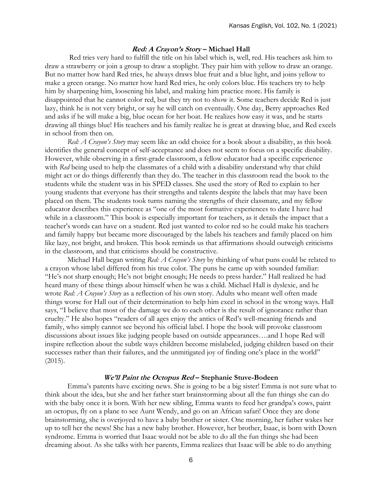#### **Red: A Crayon's Story – Michael Hall**

Red tries very hard to fulfill the title on his label which is, well, red. His teachers ask him to draw a strawberry or join a group to draw a stoplight. They pair him with yellow to draw an orange. But no matter how hard Red tries, he always draws blue fruit and a blue light, and joins yellow to make a green orange. No matter how hard Red tries, he only colors blue. His teachers try to help him by sharpening him, loosening his label, and making him practice more. His family is disappointed that he cannot color red, but they try not to show it. Some teachers decide Red is just lazy, think he is not very bright, or say he will catch on eventually. One day, Berry approaches Red and asks if he will make a big, blue ocean for her boat. He realizes how easy it was, and he starts drawing all things blue! His teachers and his family realize he is great at drawing blue, and Red excels in school from then on.

*Red: A Crayon's Story* may seem like an odd choice for a book about a disability, as this book identifies the general concept of self-acceptance and does not seem to focus on a specific disability. However, while observing in a first-grade classroom, a fellow educator had a specific experience with *Red* being used to help the classmates of a child with a disability understand why that child might act or do things differently than they do. The teacher in this classroom read the book to the students while the student was in his SPED classes. She used the story of Red to explain to her young students that everyone has their strengths and talents despite the labels that may have been placed on them. The students took turns naming the strengths of their classmate, and my fellow educator describes this experience as "one of the most formative experiences to date I have had while in a classroom." This book is especially important for teachers, as it details the impact that a teacher's words can have on a student. Red just wanted to color red so he could make his teachers and family happy but became more discouraged by the labels his teachers and family placed on him like lazy, not bright, and broken. This book reminds us that affirmations should outweigh criticisms in the classroom, and that criticisms should be constructive.

Michael Hall began writing *Red: A Crayon's Story* by thinking of what puns could be related to a crayon whose label differed from his true color. The puns he came up with sounded familiar: "He's not sharp enough; He's not bright enough; He needs to press harder." Hall realized he had heard many of these things about himself when he was a child. Michael Hall is dyslexic, and he wrote *Red: A Crayon's Story* as a reflection of his own story. Adults who meant well often made things worse for Hall out of their determination to help him excel in school in the wrong ways. Hall says, "I believe that most of the damage we do to each other is the result of ignorance rather than cruelty." He also hopes "readers of all ages enjoy the antics of Red's well-meaning friends and family, who simply cannot see beyond his official label. I hope the book will provoke classroom discussions about issues like judging people based on outside appearances….and I hope Red will inspire reflection about the subtle ways children become mislabeled, judging children based on their successes rather than their failures, and the unmitigated joy of finding one's place in the world" (2015).

## **We'll Paint the Octopus Red – Stephanie Stuve-Bodeen**

Emma's parents have exciting news. She is going to be a big sister! Emma is not sure what to think about the idea, but she and her father start brainstorming about all the fun things she can do with the baby once it is born. With her new sibling, Emma wants to feed her grandpa's cows, paint an octopus, fly on a plane to see Aunt Wendy, and go on an African safari! Once they are done brainstorming, she is overjoyed to have a baby brother or sister. One morning, her father wakes her up to tell her the news! She has a new baby brother. However, her brother, Isaac, is born with Down syndrome. Emma is worried that Isaac would not be able to do all the fun things she had been dreaming about. As she talks with her parents, Emma realizes that Isaac will be able to do anything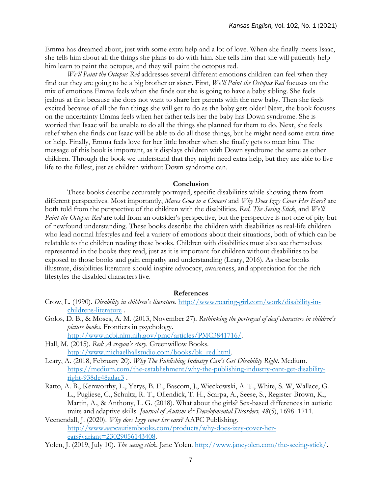Emma has dreamed about, just with some extra help and a lot of love. When she finally meets Isaac, she tells him about all the things she plans to do with him. She tells him that she will patiently help him learn to paint the octopus, and they will paint the octopus red.

*We'll Paint the Octopus Red* addresses several different emotions children can feel when they find out they are going to be a big brother or sister. First, *We'll Paint the Octopus Red* focuses on the mix of emotions Emma feels when she finds out she is going to have a baby sibling. She feels jealous at first because she does not want to share her parents with the new baby. Then she feels excited because of all the fun things she will get to do as the baby gets older! Next, the book focuses on the uncertainty Emma feels when her father tells her the baby has Down syndrome. She is worried that Isaac will be unable to do all the things she planned for them to do. Next, she feels relief when she finds out Isaac will be able to do all those things, but he might need some extra time or help. Finally, Emma feels love for her little brother when she finally gets to meet him. The message of this book is important, as it displays children with Down syndrome the same as other children. Through the book we understand that they might need extra help, but they are able to live life to the fullest, just as children without Down syndrome can.

#### **Conclusion**

These books describe accurately portrayed, specific disabilities while showing them from different perspectives. Most importantly, *Moses Goes to a Concert* and *Why Does Izzy Cover Her Ears?* are both told from the perspective of the children with the disabilities. *Red, The Seeing Stick*, and *We'll Paint the Octopus Red* are told from an outsider's perspective, but the perspective is not one of pity but of newfound understanding. These books describe the children with disabilities as real-life children who lead normal lifestyles and feel a variety of emotions about their situations, both of which can be relatable to the children reading these books. Children with disabilities must also see themselves represented in the books they read, just as it is important for children without disabilities to be exposed to those books and gain empathy and understanding (Leary, 2016). As these books illustrate, disabilities literature should inspire advocacy, awareness, and appreciation for the rich lifestyles the disabled characters live.

#### **References**

- Crow, L. (1990). *Disability in children's literature*. [http://www.roaring-girl.com/work/disability-in](http://www.roaring-girl.com/work/disability-in-childrens-literature)[childrens-literature](http://www.roaring-girl.com/work/disability-in-childrens-literature) .
- Golos, D. B., & Moses, A. M. (2013, November 27). *Rethinking the portrayal of deaf characters in children's picture books*. Frontiers in psychology. [http://www.ncbi.nlm.nih.gov/pmc/articles/PMC3841716/.](http://www.ncbi.nlm.nih.gov/pmc/articles/PMC3841716/)
- Hall, M. (2015). *Red: A crayon's story*. Greenwillow Books. [http://www.michaelhallstudio.com/books/bk\\_red.html.](http://www.michaelhallstudio.com/books/bk_red.html)
- Leary, A. (2018, February 20). *Why The Publishing Industry Can't Get Disability Right*. Medium. [https://medium.com/the-establishment/why-the-publishing-industry-cant-get-disability](https://medium.com/the-establishment/why-the-publishing-industry-cant-get-disability-right-938de48adac3)[right-938de48adac3](https://medium.com/the-establishment/why-the-publishing-industry-cant-get-disability-right-938de48adac3) .
- Ratto, A. B., Kenworthy, L., Yerys, B. E., Bascom, J., Wieckowski, A. T., White, S. W, Wallace, G. L., Pugliese, C., Schultz, R. T., Ollendick, T. H., Scarpa, A., Seese, S., Register-Brown, K., Martin, A., & Anthony, L. G. (2018). What about the girls? Sex-based differences in autistic traits and adaptive skills. *Journal of Autism & Developmental Disorders*, 48(5), 1698-1711.
- Veenendall, J. (2020). *Why does Izzy cover her ears?* AAPC Publishing. [http://www.aapcautismbooks.com/products/why-does-izzy-cover-her](http://www.aapcautismbooks.com/products/why-does-izzy-cover-her-ears?variant=23029056143408)[ears?variant=23029056143408.](http://www.aapcautismbooks.com/products/why-does-izzy-cover-her-ears?variant=23029056143408)
- Yolen, J. (2019, July 10). *The seeing stick*. Jane Yolen. [http://www.janeyolen.com/the-seeing-stick/.](http://www.janeyolen.com/the-seeing-stick/)